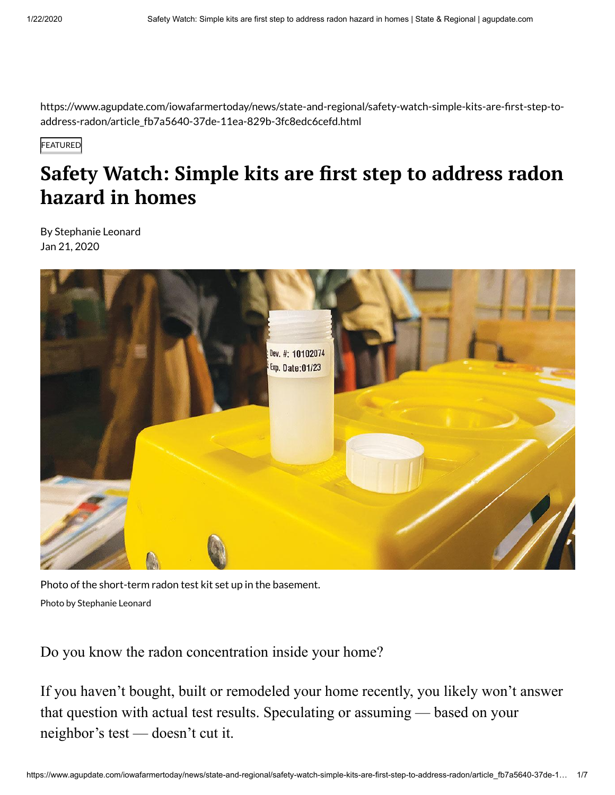https://www.agupdate.com/iowafarmertoday/news/state-and-regional/safety-watch-simple-kits-are-first-step-toaddress-radon/article\_fb7a5640-37de-11ea-829b-3fc8edc6cefd.html

**FEATURED** 

# **Safety Watch: Simple kits are first step to address radon hazard in homes**

By Stephanie Leonard Jan 21, 2020



Photo of the short-term radon test kit set up in the basement. Photo by Stephanie Leonard

Do you know the radon concentration inside your home?

If you haven't bought, built or remodeled your home recently, you likely won't answer that question with actual test results. Speculating or assuming — based on your neighbor's test — doesn't cut it.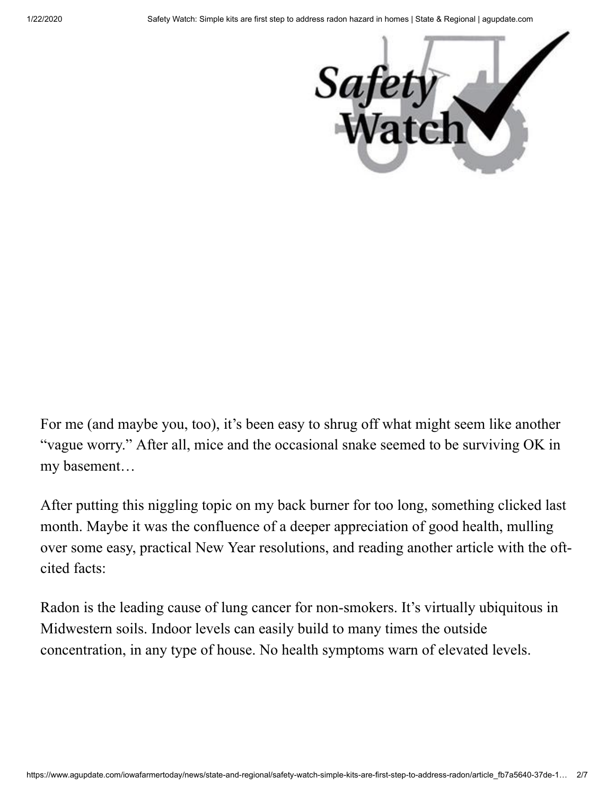

For me (and maybe you, too), it's been easy to shrug off what might seem like another "vague worry." After all, mice and the occasional snake seemed to be surviving OK in my basement…

After putting this niggling topic on my back burner for too long, something clicked last month. Maybe it was the confluence of a deeper appreciation of good health, mulling over some easy, practical New Year resolutions, and reading another article with the oftcited facts:

Radon is the leading cause of lung cancer for non-smokers. It's virtually ubiquitous in Midwestern soils. Indoor levels can easily build to many times the outside concentration, in any type of house. No health symptoms warn of elevated levels.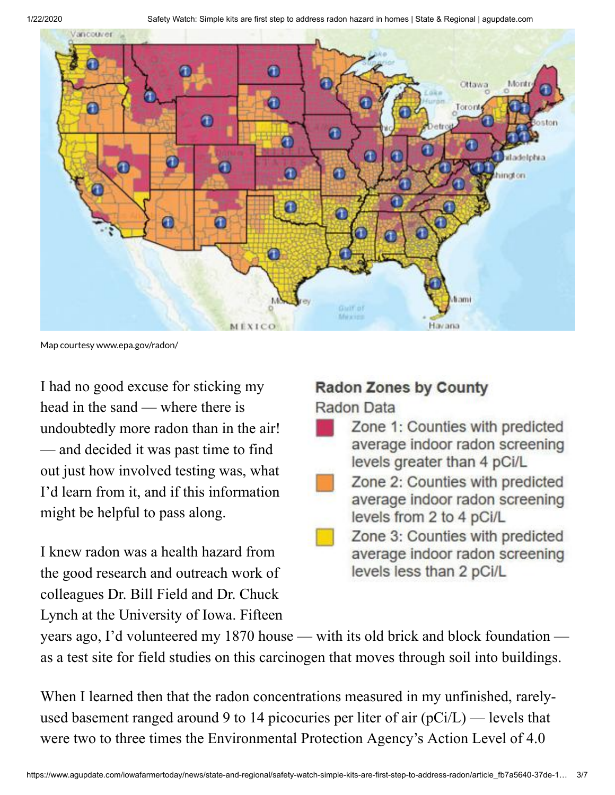1/22/2020 Safety Watch: Simple kits are first step to address radon hazard in homes | State & Regional | agupdate.com



Map courtesy www.epa.gov/radon/

I had no good excuse for sticking my head in the sand — where there is undoubtedly more radon than in the air! — and decided it was past time to find out just how involved testing was, what I'd learn from it, and if this information might be helpful to pass along.

I knew radon was a health hazard from the good research and outreach work of colleagues Dr. Bill Field and Dr. Chuck Lynch at the University of Iowa. Fifteen

## **Radon Zones by County** Radon Data

- Zone 1: Counties with predicted average indoor radon screening levels greater than 4 pCi/L
- Zone 2: Counties with predicted average indoor radon screening levels from 2 to 4 pCi/L
	- Zone 3: Counties with predicted average indoor radon screening levels less than 2 pCi/L

years ago, I'd volunteered my 1870 house — with its old brick and block foundation as a test site for field studies on this carcinogen that moves through soil into buildings.

When I learned then that the radon concentrations measured in my unfinished, rarelyused basement ranged around 9 to 14 picocuries per liter of air  $(pCi/L)$  — levels that were two to three times the Environmental Protection Agency's Action Level of 4.0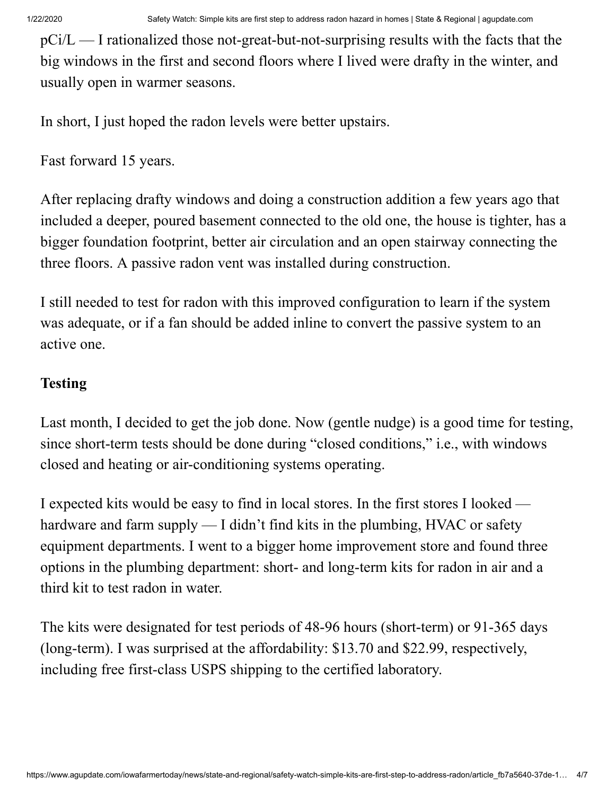$pCi/L$  — I rationalized those not-great-but-not-surprising results with the facts that the big windows in the first and second floors where I lived were drafty in the winter, and usually open in warmer seasons.

In short, I just hoped the radon levels were better upstairs.

Fast forward 15 years.

After replacing drafty windows and doing a construction addition a few years ago that included a deeper, poured basement connected to the old one, the house is tighter, has a bigger foundation footprint, better air circulation and an open stairway connecting the three floors. A passive radon vent was installed during construction.

I still needed to test for radon with this improved configuration to learn if the system was adequate, or if a fan should be added inline to convert the passive system to an active one.

#### **Testing**

Last month, I decided to get the job done. Now (gentle nudge) is a good time for testing, since short-term tests should be done during "closed conditions," i.e., with windows closed and heating or air-conditioning systems operating.

I expected kits would be easy to find in local stores. In the first stores I looked hardware and farm supply — I didn't find kits in the plumbing, HVAC or safety equipment departments. I went to a bigger home improvement store and found three options in the plumbing department: short- and long-term kits for radon in air and a third kit to test radon in water.

The kits were designated for test periods of 48-96 hours (short-term) or 91-365 days (long-term). I was surprised at the affordability: \$13.70 and \$22.99, respectively, including free first-class USPS shipping to the certified laboratory.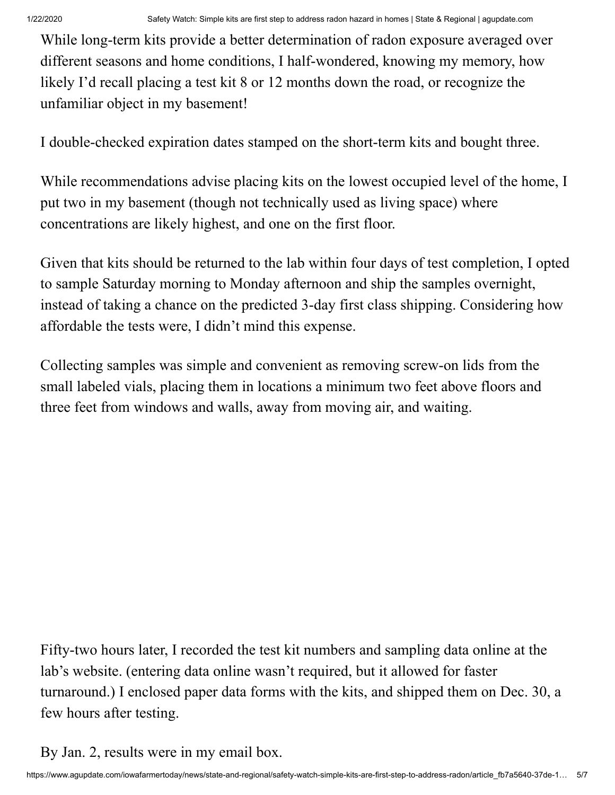While long-term kits provide a better determination of radon exposure averaged over different seasons and home conditions, I half-wondered, knowing my memory, how likely I'd recall placing a test kit 8 or 12 months down the road, or recognize the unfamiliar object in my basement!

I double-checked expiration dates stamped on the short-term kits and bought three.

While recommendations advise placing kits on the lowest occupied level of the home, I put two in my basement (though not technically used as living space) where concentrations are likely highest, and one on the first floor.

Given that kits should be returned to the lab within four days of test completion, I opted to sample Saturday morning to Monday afternoon and ship the samples overnight, instead of taking a chance on the predicted 3-day first class shipping. Considering how affordable the tests were, I didn't mind this expense.

Collecting samples was simple and convenient as removing screw-on lids from the small labeled vials, placing them in locations a minimum two feet above floors and three feet from windows and walls, away from moving air, and waiting.

Fifty-two hours later, I recorded the test kit numbers and sampling data online at the lab's website. (entering data online wasn't required, but it allowed for faster turnaround.) I enclosed paper data forms with the kits, and shipped them on Dec. 30, a few hours after testing.

By Jan. 2, results were in my email box.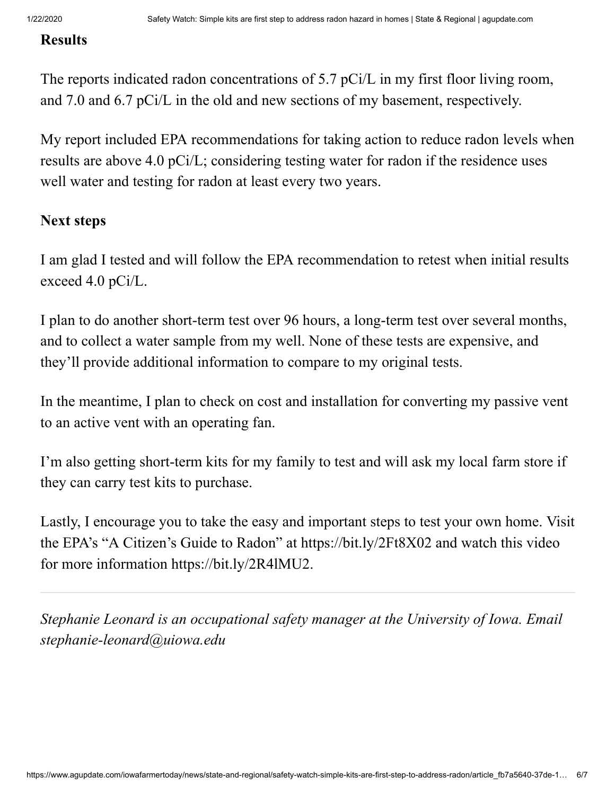#### **Results**

The reports indicated radon concentrations of 5.7 pCi/L in my first floor living room, and 7.0 and 6.7 pCi/L in the old and new sections of my basement, respectively.

My report included EPA recommendations for taking action to reduce radon levels when results are above 4.0 pCi/L; considering testing water for radon if the residence uses well water and testing for radon at least every two years.

### **Next steps**

I am glad I tested and will follow the EPA recommendation to retest when initial results exceed 4.0 pCi/L.

I plan to do another short-term test over 96 hours, a long-term test over several months, and to collect a water sample from my well. None of these tests are expensive, and they'll provide additional information to compare to my original tests.

In the meantime, I plan to check on cost and installation for converting my passive vent to an active vent with an operating fan.

I'm also getting short-term kits for my family to test and will ask my local farm store if they can carry test kits to purchase.

Lastly, I encourage you to take the easy and important steps to test your own home. Visit the EPA's "A Citizen's Guide to Radon" at <https://bit.ly/2Ft8X02> and watch this video for more information [https://bit.ly/2R4lMU2.](https://bit.ly/2R4lMU2)

*Stephanie Leonard is an occupational safety manager at the University of Iowa. Email [stephanie-leonard@uiowa.edu](mailto:stephanie-leonard@uiowa.edu)*